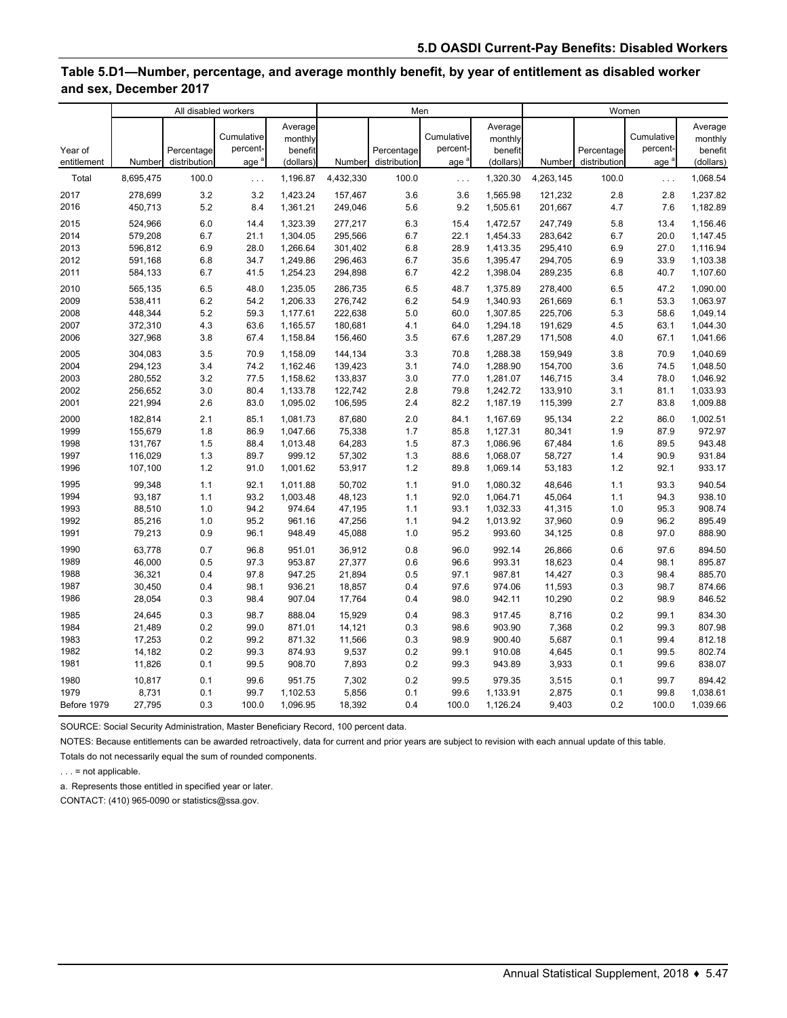### **Table 5.D1—Number, percentage, and average monthly benefit, by year of entitlement as disabled worker and sex, December 2017**

|                        | All disabled workers |                            |                                            |                                            | Men       |                            |                                            |                                            | Women     |                            |                               |                                            |
|------------------------|----------------------|----------------------------|--------------------------------------------|--------------------------------------------|-----------|----------------------------|--------------------------------------------|--------------------------------------------|-----------|----------------------------|-------------------------------|--------------------------------------------|
| Year of<br>entitlement | Number               | Percentage<br>distribution | Cumulative<br>percent-<br>age <sup>a</sup> | Average<br>monthly<br>benefit<br>(dollars) | Number    | Percentage<br>distribution | Cumulative<br>percent-<br>age <sup>a</sup> | Average<br>monthly<br>benefit<br>(dollars) | Number    | Percentage<br>distribution | Cumulative<br>percent-<br>age | Average<br>monthly<br>benefit<br>(dollars) |
| Total                  | 8,695,475            | 100.0                      | $\ldots$                                   | 1,196.87                                   | 4,432,330 | 100.0                      | $\ldots$                                   | 1,320.30                                   | 4,263,145 | 100.0                      | $\ldots$                      | 1,068.54                                   |
| 2017                   | 278,699              | 3.2                        | 3.2                                        | 1,423.24                                   | 157,467   | 3.6                        | 3.6                                        | 1,565.98                                   | 121,232   | 2.8                        | 2.8                           | 1,237.82                                   |
| 2016                   | 450,713              | 5.2                        | 8.4                                        | 1,361.21                                   | 249,046   | 5.6                        | 9.2                                        | 1,505.61                                   | 201,667   | 4.7                        | 7.6                           | 1,182.89                                   |
| 2015                   | 524,966              | 6.0                        | 14.4                                       | 1,323.39                                   | 277,217   | 6.3                        | 15.4                                       | 1,472.57                                   | 247,749   | 5.8                        | 13.4                          | 1,156.46                                   |
| 2014                   | 579,208              | 6.7                        | 21.1                                       | 1,304.05                                   | 295,566   | 6.7                        | 22.1                                       | 1,454.33                                   | 283,642   | 6.7                        | 20.0                          | 1,147.45                                   |
| 2013                   | 596,812              | 6.9                        | 28.0                                       | 1,266.64                                   | 301,402   | 6.8                        | 28.9                                       | 1,413.35                                   | 295,410   | 6.9                        | 27.0                          | 1,116.94                                   |
| 2012                   | 591,168              | 6.8                        | 34.7                                       | 1,249.86                                   | 296,463   | 6.7                        | 35.6                                       | 1,395.47                                   | 294,705   | 6.9                        | 33.9                          | 1,103.38                                   |
| 2011                   | 584,133              | 6.7                        | 41.5                                       | 1,254.23                                   | 294,898   | 6.7                        | 42.2                                       | 1,398.04                                   | 289,235   | 6.8                        | 40.7                          | 1,107.60                                   |
| 2010                   | 565,135              | 6.5                        | 48.0                                       | 1,235.05                                   | 286,735   | 6.5                        | 48.7                                       | 1,375.89                                   | 278,400   | 6.5                        | 47.2                          | 1,090.00                                   |
| 2009                   | 538,411              | 6.2                        | 54.2                                       | 1,206.33                                   | 276,742   | 6.2                        | 54.9                                       | 1,340.93                                   | 261,669   | 6.1                        | 53.3                          | 1,063.97                                   |
| 2008                   | 448,344              | 5.2                        | 59.3                                       | 1,177.61                                   | 222,638   | 5.0                        | 60.0                                       | 1,307.85                                   | 225,706   | 5.3                        | 58.6                          | 1,049.14                                   |
| 2007                   | 372,310              | 4.3                        | 63.6                                       | 1,165.57                                   | 180,681   | 4.1                        | 64.0                                       | 1,294.18                                   | 191,629   | 4.5                        | 63.1                          | 1,044.30                                   |
| 2006                   | 327,968              | 3.8                        | 67.4                                       | 1,158.84                                   | 156,460   | 3.5                        | 67.6                                       | 1,287.29                                   | 171,508   | 4.0                        | 67.1                          | 1,041.66                                   |
| 2005                   | 304,083              | 3.5                        | 70.9                                       | 1,158.09                                   | 144,134   | 3.3                        | 70.8                                       | 1,288.38                                   | 159,949   | 3.8                        | 70.9                          | 1,040.69                                   |
| 2004                   | 294,123              | 3.4                        | 74.2                                       | 1,162.46                                   | 139,423   | 3.1                        | 74.0                                       | 1,288.90                                   | 154,700   | 3.6                        | 74.5                          | 1,048.50                                   |
| 2003                   | 280,552              | 3.2                        | 77.5                                       | 1,158.62                                   | 133,837   | 3.0                        | 77.0                                       | 1,281.07                                   | 146,715   | 3.4                        | 78.0                          | 1,046.92                                   |
| 2002                   | 256,652              | 3.0                        | 80.4                                       | 1,133.78                                   | 122,742   | 2.8                        | 79.8                                       | 1,242.72                                   | 133,910   | 3.1                        | 81.1                          | 1,033.93                                   |
| 2001                   | 221,994              | 2.6                        | 83.0                                       | 1,095.02                                   | 106,595   | 2.4                        | 82.2                                       | 1,187.19                                   | 115,399   | 2.7                        | 83.8                          | 1,009.88                                   |
| 2000                   | 182,814              | 2.1                        | 85.1                                       | 1,081.73                                   | 87,680    | 2.0                        | 84.1                                       | 1,167.69                                   | 95,134    | 2.2                        | 86.0                          | 1,002.51                                   |
| 1999                   | 155,679              | 1.8                        | 86.9                                       | 1,047.66                                   | 75,338    | 1.7                        | 85.8                                       | 1,127.31                                   | 80,341    | 1.9                        | 87.9                          | 972.97                                     |
| 1998                   | 131,767              | 1.5                        | 88.4                                       | 1,013.48                                   | 64,283    | 1.5                        | 87.3                                       | 1,086.96                                   | 67,484    | 1.6                        | 89.5                          | 943.48                                     |
| 1997                   | 116,029              | 1.3                        | 89.7                                       | 999.12                                     | 57,302    | 1.3                        | 88.6                                       | 1,068.07                                   | 58,727    | 1.4                        | 90.9                          | 931.84                                     |
| 1996                   | 107,100              | 1.2                        | 91.0                                       | 1,001.62                                   | 53,917    | 1.2                        | 89.8                                       | 1,069.14                                   | 53,183    | 1.2                        | 92.1                          | 933.17                                     |
| 1995                   | 99,348               | 1.1                        | 92.1                                       | 1,011.88                                   | 50,702    | 1.1                        | 91.0                                       | 1,080.32                                   | 48,646    | 1.1                        | 93.3                          | 940.54                                     |
| 1994                   | 93,187               | 1.1                        | 93.2                                       | 1,003.48                                   | 48,123    | 1.1                        | 92.0                                       | 1,064.71                                   | 45,064    | 1.1                        | 94.3                          | 938.10                                     |
| 1993                   | 88,510               | 1.0                        | 94.2                                       | 974.64                                     | 47,195    | 1.1                        | 93.1                                       | 1,032.33                                   | 41,315    | 1.0                        | 95.3                          | 908.74                                     |
| 1992                   | 85,216               | 1.0                        | 95.2                                       | 961.16                                     | 47,256    | 1.1                        | 94.2                                       | 1,013.92                                   | 37,960    | 0.9                        | 96.2                          | 895.49                                     |
| 1991                   | 79,213               | 0.9                        | 96.1                                       | 948.49                                     | 45,088    | 1.0                        | 95.2                                       | 993.60                                     | 34,125    | 0.8                        | 97.0                          | 888.90                                     |
| 1990                   | 63,778               | 0.7                        | 96.8                                       | 951.01                                     | 36,912    | 0.8                        | 96.0                                       | 992.14                                     | 26,866    | 0.6                        | 97.6                          | 894.50                                     |
| 1989                   | 46,000               | 0.5                        | 97.3                                       | 953.87                                     | 27,377    | 0.6                        | 96.6                                       | 993.31                                     | 18,623    | 0.4                        | 98.1                          | 895.87                                     |
| 1988                   | 36,321               | 0.4                        | 97.8                                       | 947.25                                     | 21,894    | 0.5                        | 97.1                                       | 987.81                                     | 14,427    | 0.3                        | 98.4                          | 885.70                                     |
| 1987                   | 30,450               | 0.4                        | 98.1                                       | 936.21                                     | 18,857    | 0.4                        | 97.6                                       | 974.06                                     | 11,593    | 0.3                        | 98.7                          | 874.66                                     |
| 1986                   | 28,054               | 0.3                        | 98.4                                       | 907.04                                     | 17,764    | 0.4                        | 98.0                                       | 942.11                                     | 10,290    | 0.2                        | 98.9                          | 846.52                                     |
| 1985                   | 24,645               | 0.3                        | 98.7                                       | 888.04                                     | 15,929    | 0.4                        | 98.3                                       | 917.45                                     | 8,716     | 0.2                        | 99.1                          | 834.30                                     |
| 1984                   | 21,489               | 0.2                        | 99.0                                       | 871.01                                     | 14,121    | 0.3                        | 98.6                                       | 903.90                                     | 7,368     | 0.2                        | 99.3                          | 807.98                                     |
| 1983                   | 17,253               | 0.2                        | 99.2                                       | 871.32                                     | 11,566    | 0.3                        | 98.9                                       | 900.40                                     | 5,687     | 0.1                        | 99.4                          | 812.18                                     |
| 1982                   | 14,182               | 0.2                        | 99.3                                       | 874.93                                     | 9,537     | 0.2                        | 99.1                                       | 910.08                                     | 4,645     | 0.1                        | 99.5                          | 802.74                                     |
| 1981                   | 11,826               | 0.1                        | 99.5                                       | 908.70                                     | 7,893     | 0.2                        | 99.3                                       | 943.89                                     | 3,933     | 0.1                        | 99.6                          | 838.07                                     |
| 1980                   | 10,817               | 0.1                        | 99.6                                       | 951.75                                     | 7,302     | 0.2                        | 99.5                                       | 979.35                                     | 3,515     | 0.1                        | 99.7                          | 894.42                                     |
| 1979                   | 8,731                | 0.1                        | 99.7                                       | 1,102.53                                   | 5,856     | 0.1                        | 99.6                                       | 1,133.91                                   | 2,875     | 0.1                        | 99.8                          | 1,038.61                                   |
| Before 1979            | 27,795               | 0.3                        | 100.0                                      | 1,096.95                                   | 18,392    | 0.4                        | 100.0                                      | 1,126.24                                   | 9,403     | 0.2                        | 100.0                         | 1,039.66                                   |

SOURCE: Social Security Administration, Master Beneficiary Record, 100 percent data.

NOTES: Because entitlements can be awarded retroactively, data for current and prior years are subject to revision with each annual update of this table.

Totals do not necessarily equal the sum of rounded components.

. . . = not applicable.

a. Represents those entitled in specified year or later.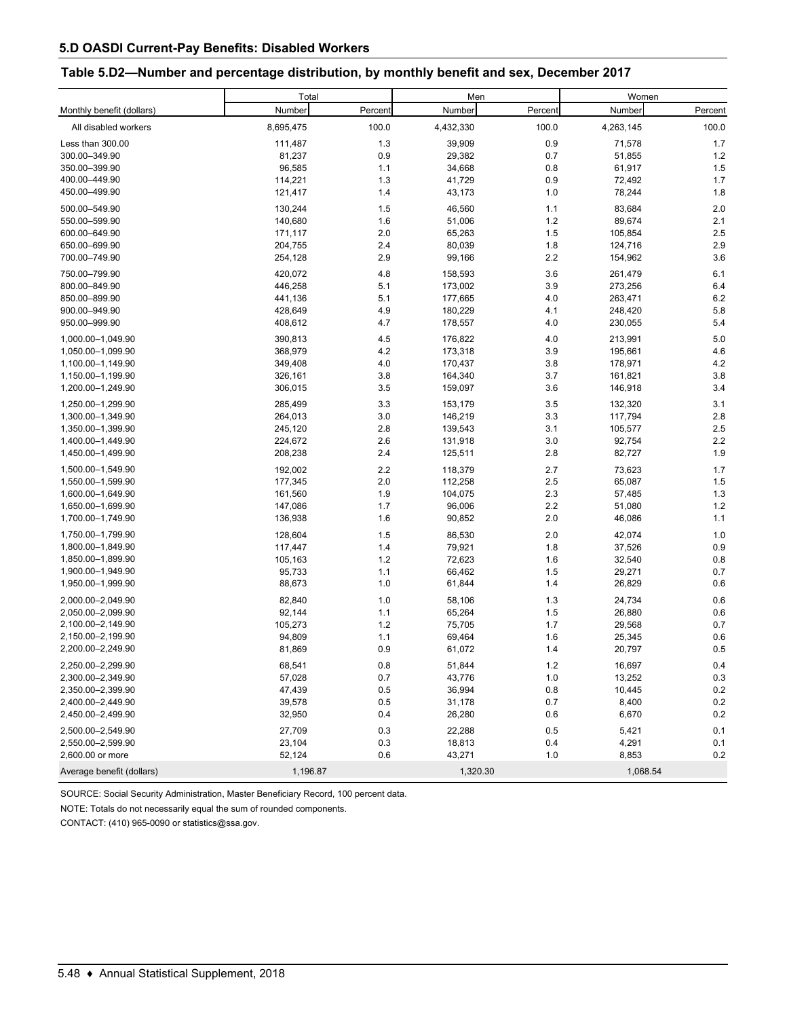### **Table 5.D2—Number and percentage distribution, by monthly benefit and sex, December 2017**

|                           | Total     |         | Men       |         | Women     |         |  |
|---------------------------|-----------|---------|-----------|---------|-----------|---------|--|
| Monthly benefit (dollars) | Number    | Percent | Number    | Percent | Number    | Percent |  |
| All disabled workers      | 8,695,475 | 100.0   | 4,432,330 | 100.0   | 4,263,145 | 100.0   |  |
| Less than 300.00          | 111,487   | 1.3     | 39,909    | 0.9     | 71,578    | 1.7     |  |
| 300.00-349.90             | 81,237    | 0.9     | 29,382    | 0.7     | 51,855    | 1.2     |  |
| 350.00-399.90             | 96,585    | 1.1     | 34,668    | 0.8     | 61,917    | 1.5     |  |
| 400.00-449.90             | 114,221   | 1.3     | 41,729    | 0.9     | 72,492    | 1.7     |  |
| 450.00-499.90             | 121,417   | 1.4     | 43,173    | 1.0     | 78,244    | 1.8     |  |
| 500.00-549.90             | 130,244   | 1.5     | 46,560    | 1.1     | 83,684    | 2.0     |  |
| 550.00-599.90             | 140,680   | 1.6     | 51,006    | 1.2     | 89,674    | 2.1     |  |
| 600.00-649.90             | 171,117   | 2.0     | 65,263    | 1.5     | 105,854   | 2.5     |  |
| 650.00-699.90             | 204,755   | 2.4     | 80,039    | 1.8     | 124,716   | 2.9     |  |
| 700.00-749.90             | 254,128   | 2.9     | 99,166    | 2.2     | 154,962   | 3.6     |  |
| 750.00-799.90             | 420,072   | 4.8     | 158,593   | 3.6     | 261,479   | 6.1     |  |
| 800.00-849.90             | 446,258   | 5.1     | 173,002   | 3.9     | 273,256   | 6.4     |  |
| 850.00-899.90             | 441,136   | 5.1     | 177,665   | 4.0     | 263,471   | 6.2     |  |
| 900.00-949.90             | 428,649   | 4.9     | 180,229   | 4.1     | 248,420   | 5.8     |  |
| 950.00-999.90             | 408,612   | 4.7     | 178,557   | 4.0     | 230,055   | 5.4     |  |
| 1,000.00-1,049.90         | 390,813   | 4.5     | 176,822   | 4.0     | 213,991   | 5.0     |  |
| 1,050.00-1,099.90         | 368,979   | 4.2     | 173,318   | 3.9     | 195,661   | 4.6     |  |
| 1,100.00-1,149.90         | 349,408   | 4.0     | 170,437   | 3.8     | 178,971   | 4.2     |  |
| 1,150.00-1,199.90         | 326,161   | 3.8     | 164,340   | 3.7     | 161,821   | 3.8     |  |
| 1,200.00-1,249.90         | 306,015   | 3.5     | 159,097   | 3.6     | 146,918   | 3.4     |  |
| 1,250.00-1,299.90         | 285,499   | 3.3     | 153,179   | 3.5     | 132,320   | 3.1     |  |
| 1,300.00-1,349.90         | 264,013   | 3.0     | 146,219   | 3.3     | 117,794   | 2.8     |  |
| 1,350.00-1,399.90         | 245,120   | 2.8     | 139,543   | 3.1     | 105,577   | 2.5     |  |
| 1,400.00-1,449.90         | 224,672   | 2.6     | 131,918   | 3.0     | 92,754    | 2.2     |  |
| 1,450.00-1,499.90         | 208,238   | 2.4     | 125,511   | 2.8     | 82,727    | 1.9     |  |
| 1,500.00-1,549.90         | 192,002   | 2.2     | 118,379   | 2.7     | 73,623    | 1.7     |  |
| 1,550.00-1,599.90         | 177,345   | 2.0     | 112,258   | 2.5     | 65,087    | 1.5     |  |
| 1,600.00-1,649.90         | 161,560   | 1.9     | 104,075   | 2.3     | 57,485    | 1.3     |  |
| 1,650.00-1,699.90         | 147,086   | 1.7     | 96,006    | 2.2     | 51,080    | 1.2     |  |
| 1,700.00-1,749.90         | 136,938   | 1.6     | 90,852    | 2.0     | 46,086    | 1.1     |  |
| 1,750.00-1,799.90         | 128,604   | 1.5     | 86,530    | 2.0     | 42,074    | 1.0     |  |
| 1,800.00-1,849.90         | 117,447   | 1.4     | 79,921    | 1.8     | 37,526    | 0.9     |  |
| 1,850.00-1,899.90         | 105,163   | 1.2     | 72,623    | 1.6     | 32,540    | 0.8     |  |
| 1,900.00-1,949.90         | 95,733    | 1.1     | 66,462    | 1.5     | 29,271    | 0.7     |  |
| 1,950.00-1,999.90         | 88,673    | 1.0     | 61,844    | 1.4     | 26,829    | 0.6     |  |
| 2,000.00-2,049.90         | 82,840    | 1.0     | 58,106    | 1.3     | 24,734    | 0.6     |  |
| 2,050.00-2,099.90         | 92,144    | 1.1     | 65,264    | 1.5     | 26,880    | 0.6     |  |
| 2,100.00-2,149.90         | 105,273   | 1.2     | 75,705    | 1.7     | 29,568    | 0.7     |  |
| 2,150.00-2,199.90         | 94,809    | 1.1     | 69,464    | 1.6     | 25,345    | 0.6     |  |
| 2,200.00-2,249.90         | 81,869    | 0.9     | 61,072    | 1.4     | 20,797    | 0.5     |  |
| 2,250.00-2,299.90         | 68,541    | 0.8     | 51,844    | 1.2     | 16,697    | 0.4     |  |
| 2,300.00-2,349.90         | 57,028    | 0.7     | 43,776    | 1.0     | 13,252    | 0.3     |  |
| 2,350.00-2,399.90         | 47,439    | 0.5     | 36,994    | 0.8     | 10,445    | 0.2     |  |
| 2,400.00-2,449.90         | 39,578    | 0.5     | 31,178    | 0.7     | 8,400     | 0.2     |  |
| 2,450.00-2,499.90         | 32,950    | 0.4     | 26,280    | 0.6     | 6,670     | 0.2     |  |
| 2,500.00-2,549.90         | 27,709    | 0.3     | 22,288    | 0.5     | 5,421     | 0.1     |  |
| 2,550.00-2,599.90         | 23,104    | 0.3     | 18,813    | 0.4     | 4,291     | 0.1     |  |
| 2,600.00 or more          | 52,124    | 0.6     | 43,271    | 1.0     | 8,853     | 0.2     |  |
| Average benefit (dollars) | 1,196.87  |         | 1,320.30  |         | 1,068.54  |         |  |

SOURCE: Social Security Administration, Master Beneficiary Record, 100 percent data.

NOTE: Totals do not necessarily equal the sum of rounded components.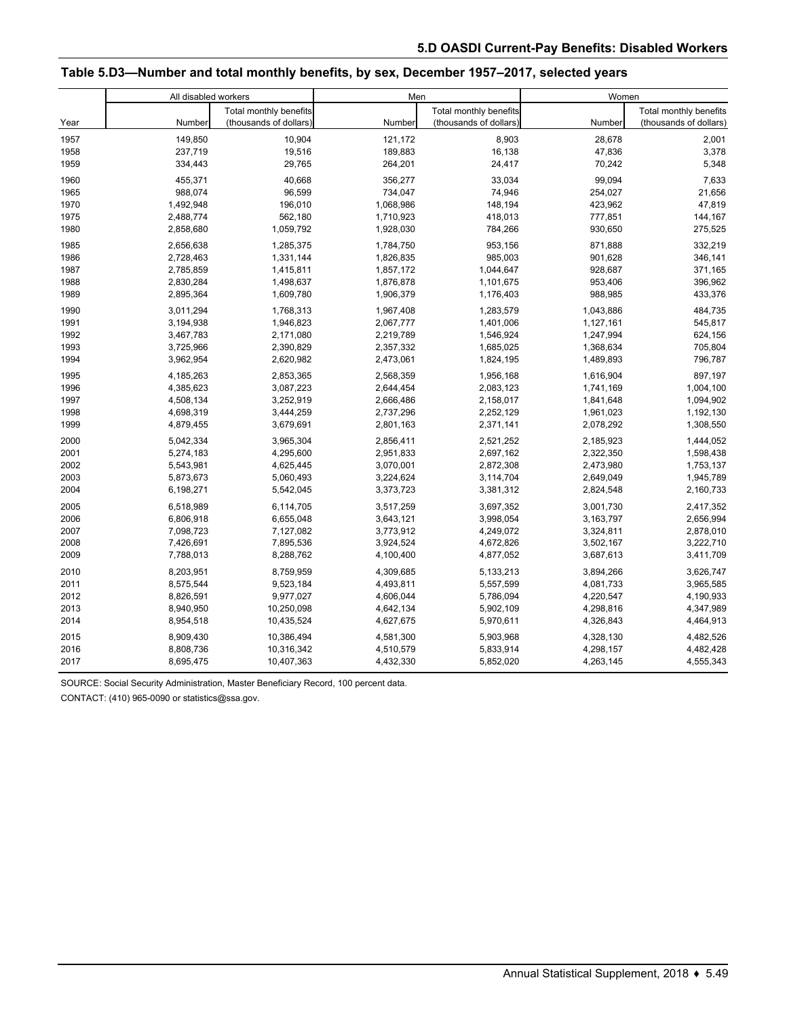### **Table 5.D3—Number and total monthly benefits, by sex, December 1957–2017, selected years**

|      | All disabled workers |                        | Men       |                        | Women     |                        |  |
|------|----------------------|------------------------|-----------|------------------------|-----------|------------------------|--|
|      |                      | Total monthly benefits |           | Total monthly benefits |           | Total monthly benefits |  |
| Year | Number               | (thousands of dollars) | Number    | (thousands of dollars) | Number    | (thousands of dollars) |  |
| 1957 | 149,850              | 10,904                 | 121.172   | 8,903                  | 28,678    | 2,001                  |  |
| 1958 | 237,719              | 19,516                 | 189,883   | 16,138                 | 47,836    | 3,378                  |  |
| 1959 | 334,443              | 29,765                 | 264,201   | 24,417                 | 70,242    | 5,348                  |  |
| 1960 | 455.371              | 40.668                 | 356,277   | 33.034                 | 99,094    | 7,633                  |  |
| 1965 | 988,074              | 96,599                 | 734,047   | 74,946                 | 254,027   | 21,656                 |  |
| 1970 | 1,492,948            | 196,010                | 1,068,986 | 148,194                | 423,962   | 47,819                 |  |
| 1975 | 2,488,774            | 562,180                | 1,710,923 | 418,013                | 777,851   | 144,167                |  |
| 1980 | 2,858,680            | 1,059,792              | 1,928,030 | 784,266                | 930,650   | 275,525                |  |
| 1985 | 2,656,638            | 1,285,375              | 1,784,750 | 953,156                | 871,888   | 332,219                |  |
| 1986 | 2,728,463            | 1,331,144              | 1,826,835 | 985,003                | 901,628   | 346,141                |  |
| 1987 | 2,785,859            | 1,415,811              | 1,857,172 | 1,044,647              | 928,687   | 371,165                |  |
| 1988 | 2,830,284            | 1,498,637              | 1,876,878 | 1,101,675              | 953,406   | 396,962                |  |
| 1989 | 2,895,364            | 1,609,780              | 1,906,379 | 1,176,403              | 988,985   | 433,376                |  |
| 1990 | 3,011,294            | 1,768,313              | 1,967,408 | 1,283,579              | 1,043,886 | 484,735                |  |
| 1991 | 3,194,938            | 1,946,823              | 2,067,777 | 1,401,006              | 1,127,161 | 545,817                |  |
| 1992 | 3,467,783            | 2,171,080              | 2,219,789 | 1,546,924              | 1,247,994 | 624,156                |  |
| 1993 | 3,725,966            | 2,390,829              | 2,357,332 | 1,685,025              | 1,368,634 | 705,804                |  |
| 1994 | 3,962,954            | 2,620,982              | 2,473,061 | 1,824,195              | 1,489,893 | 796,787                |  |
| 1995 | 4,185,263            | 2,853,365              | 2,568,359 | 1,956,168              | 1,616,904 | 897,197                |  |
| 1996 | 4,385,623            | 3,087,223              | 2,644,454 | 2,083,123              | 1,741,169 | 1,004,100              |  |
| 1997 | 4,508,134            | 3,252,919              | 2,666,486 | 2,158,017              | 1,841,648 | 1,094,902              |  |
| 1998 | 4,698,319            | 3,444,259              | 2,737,296 | 2,252,129              | 1,961,023 | 1,192,130              |  |
| 1999 | 4,879,455            | 3,679,691              | 2,801,163 | 2,371,141              | 2,078,292 | 1,308,550              |  |
| 2000 | 5,042,334            | 3,965,304              | 2,856,411 | 2,521,252              | 2,185,923 | 1,444,052              |  |
| 2001 | 5,274,183            | 4,295,600              | 2,951,833 | 2,697,162              | 2,322,350 | 1,598,438              |  |
| 2002 | 5,543,981            | 4,625,445              | 3,070,001 | 2,872,308              | 2,473,980 | 1,753,137              |  |
| 2003 | 5,873,673            | 5,060,493              | 3,224,624 | 3,114,704              | 2,649,049 | 1,945,789              |  |
| 2004 | 6,198,271            | 5,542,045              | 3,373,723 | 3,381,312              | 2,824,548 | 2,160,733              |  |
| 2005 | 6,518,989            | 6,114,705              | 3,517,259 | 3,697,352              | 3,001,730 | 2,417,352              |  |
| 2006 | 6,806,918            | 6,655,048              | 3,643,121 | 3,998,054              | 3,163,797 | 2,656,994              |  |
| 2007 | 7,098,723            | 7,127,082              | 3,773,912 | 4,249,072              | 3,324,811 | 2,878,010              |  |
| 2008 | 7,426,691            | 7,895,536              | 3,924,524 | 4,672,826              | 3,502,167 | 3,222,710              |  |
| 2009 | 7,788,013            | 8,288,762              | 4,100,400 | 4,877,052              | 3,687,613 | 3,411,709              |  |
| 2010 | 8,203,951            | 8,759,959              | 4,309,685 | 5,133,213              | 3,894,266 | 3,626,747              |  |
| 2011 | 8,575,544            | 9,523,184              | 4,493,811 | 5,557,599              | 4,081,733 | 3,965,585              |  |
| 2012 | 8,826,591            | 9,977,027              | 4,606,044 | 5,786,094              | 4,220,547 | 4,190,933              |  |
| 2013 | 8,940,950            | 10,250,098             | 4,642,134 | 5,902,109              | 4,298,816 | 4,347,989              |  |
| 2014 | 8,954,518            | 10,435,524             | 4,627,675 | 5,970,611              | 4,326,843 | 4,464,913              |  |
| 2015 | 8,909,430            | 10,386,494             | 4,581,300 | 5,903,968              | 4,328,130 | 4,482,526              |  |
| 2016 | 8,808,736            | 10,316,342             | 4,510,579 | 5,833,914              | 4,298,157 | 4,482,428              |  |
| 2017 | 8,695,475            | 10,407,363             | 4,432,330 | 5,852,020              | 4,263,145 | 4,555,343              |  |

SOURCE: Social Security Administration, Master Beneficiary Record, 100 percent data.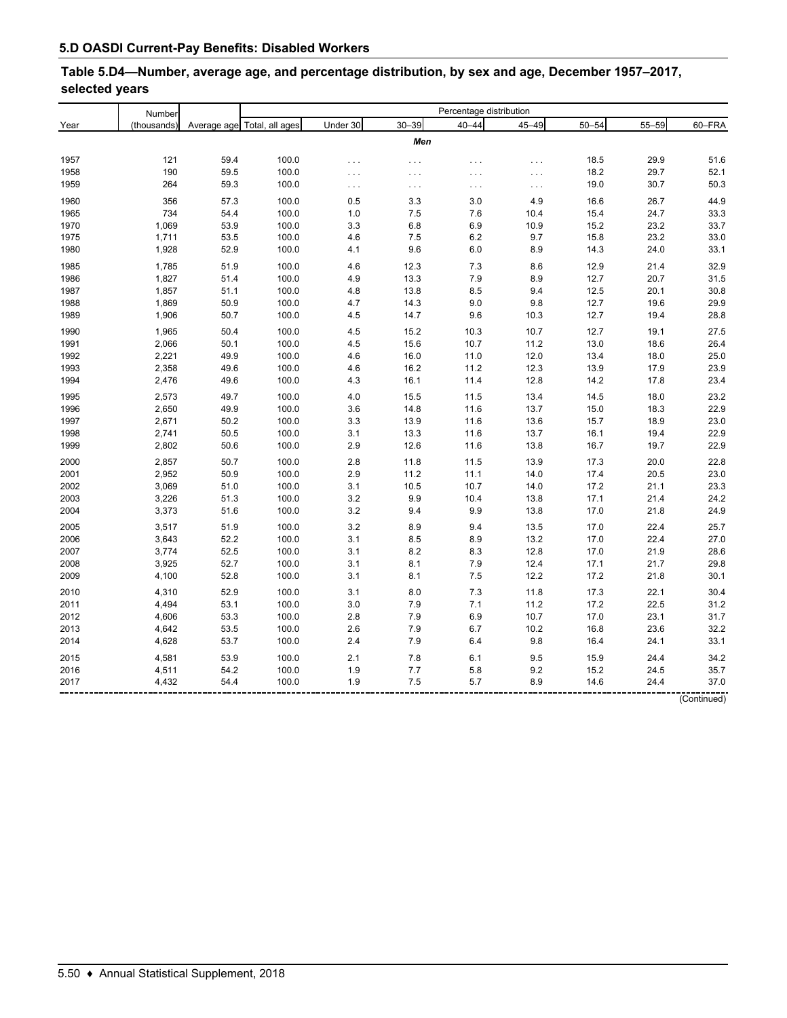# **Table 5.D4—Number, average age, and percentage distribution, by sex and age, December 1957–2017, selected years**

|              | Number         |              | Percentage distribution     |            |                      |            |              |              |              |              |
|--------------|----------------|--------------|-----------------------------|------------|----------------------|------------|--------------|--------------|--------------|--------------|
| Year         | (thousands)    |              | Average age Total, all ages | Under 30   | $30 - 39$            | $40 - 44$  | $45 - 49$    | $50 - 54$    | $55 - 59$    | 60-FRA       |
|              |                |              |                             |            | Men                  |            |              |              |              |              |
|              |                |              |                             |            |                      |            |              |              |              |              |
| 1957         | 121<br>190     | 59.4         | 100.0                       | $\cdots$   | $\sim$ $\sim$ $\sim$ | $\cdots$   | $\cdots$     | 18.5         | 29.9         | 51.6         |
| 1958         | 264            | 59.5<br>59.3 | 100.0<br>100.0              | $\ldots$   |                      | $\cdots$   | $\ldots$     | 18.2         | 29.7         | 52.1<br>50.3 |
| 1959         |                |              |                             | $\cdots$   | $\sim$ $\sim$ $\sim$ | $\cdots$   | $\ldots$     | 19.0         | 30.7         |              |
| 1960         | 356            | 57.3         | 100.0                       | 0.5        | 3.3                  | 3.0        | 4.9          | 16.6         | 26.7         | 44.9         |
| 1965         | 734            | 54.4         | 100.0                       | 1.0        | 7.5                  | 7.6        | 10.4         | 15.4         | 24.7         | 33.3         |
| 1970         | 1,069          | 53.9         | 100.0                       | 3.3        | 6.8                  | 6.9        | 10.9         | 15.2         | 23.2         | 33.7         |
| 1975         | 1,711          | 53.5         | 100.0                       | 4.6        | 7.5                  | 6.2        | 9.7          | 15.8         | 23.2         | 33.0         |
| 1980         | 1,928          | 52.9         | 100.0                       | 4.1        | 9.6                  | 6.0        | 8.9          | 14.3         | 24.0         | 33.1         |
| 1985         | 1,785          | 51.9         | 100.0                       | 4.6        | 12.3                 | 7.3        | 8.6          | 12.9         | 21.4         | 32.9         |
| 1986         | 1,827          | 51.4         | 100.0                       | 4.9        | 13.3                 | 7.9        | 8.9          | 12.7         | 20.7         | 31.5         |
| 1987         | 1,857          | 51.1         | 100.0                       | 4.8        | 13.8                 | 8.5        | 9.4          | 12.5         | 20.1         | 30.8         |
| 1988         | 1,869          | 50.9         | 100.0                       | 4.7        | 14.3                 | 9.0        | 9.8          | 12.7         | 19.6         | 29.9         |
| 1989         | 1,906          | 50.7         | 100.0                       | 4.5        | 14.7                 | 9.6        | 10.3         | 12.7         | 19.4         | 28.8         |
| 1990         | 1,965          | 50.4         | 100.0                       | 4.5        | 15.2                 | 10.3       | 10.7         | 12.7         | 19.1         | 27.5         |
| 1991         | 2,066          | 50.1         | 100.0                       | 4.5        | 15.6                 | 10.7       | 11.2         | 13.0         | 18.6         | 26.4         |
| 1992         | 2,221          | 49.9         | 100.0                       | 4.6        | 16.0                 | 11.0       | 12.0         | 13.4         | 18.0         | 25.0         |
| 1993         | 2,358          | 49.6         | 100.0                       | 4.6        | 16.2                 | 11.2       | 12.3         | 13.9         | 17.9         | 23.9         |
| 1994         | 2,476          | 49.6         | 100.0                       | 4.3        | 16.1                 | 11.4       | 12.8         | 14.2         | 17.8         | 23.4         |
| 1995         | 2,573          | 49.7         | 100.0                       | 4.0        | 15.5                 | 11.5       | 13.4         | 14.5         | 18.0         | 23.2         |
| 1996         | 2,650          | 49.9         | 100.0                       | 3.6        | 14.8                 | 11.6       | 13.7         | 15.0         | 18.3         | 22.9         |
| 1997         | 2,671          | 50.2         | 100.0                       | 3.3        | 13.9                 | 11.6       | 13.6         | 15.7         | 18.9         | 23.0         |
| 1998         | 2,741          | 50.5         | 100.0                       | 3.1        | 13.3                 | 11.6       | 13.7         | 16.1         | 19.4         | 22.9         |
| 1999         | 2,802          | 50.6         | 100.0                       | 2.9        | 12.6                 | 11.6       | 13.8         | 16.7         | 19.7         | 22.9         |
| 2000         | 2,857          | 50.7         | 100.0                       | 2.8        | 11.8                 | 11.5       | 13.9         | 17.3         | 20.0         | 22.8         |
| 2001         | 2,952          | 50.9         | 100.0                       | 2.9        | 11.2                 | 11.1       | 14.0         | 17.4         | 20.5         | 23.0         |
| 2002         | 3,069          | 51.0         | 100.0                       | 3.1        | 10.5                 | 10.7       | 14.0         | 17.2         | 21.1         | 23.3         |
| 2003         | 3,226          | 51.3         | 100.0                       | 3.2        | 9.9                  | 10.4       | 13.8         | 17.1         | 21.4         | 24.2         |
| 2004         | 3,373          | 51.6         | 100.0                       | 3.2        | 9.4                  | 9.9        | 13.8         | 17.0         | 21.8         | 24.9         |
|              |                |              |                             |            |                      |            |              |              |              |              |
| 2005         | 3,517          | 51.9         | 100.0                       | 3.2        | 8.9                  | 9.4        | 13.5         | 17.0         | 22.4         | 25.7         |
| 2006         | 3,643          | 52.2<br>52.5 | 100.0                       | 3.1        | 8.5<br>8.2           | 8.9        | 13.2<br>12.8 | 17.0         | 22.4         | 27.0<br>28.6 |
| 2007         | 3,774<br>3,925 |              | 100.0                       | 3.1<br>3.1 |                      | 8.3        |              | 17.0         | 21.9         | 29.8         |
| 2008<br>2009 | 4,100          | 52.7<br>52.8 | 100.0<br>100.0              | 3.1        | 8.1<br>8.1           | 7.9<br>7.5 | 12.4<br>12.2 | 17.1<br>17.2 | 21.7<br>21.8 | 30.1         |
|              |                |              |                             |            |                      |            |              |              |              |              |
| 2010         | 4,310          | 52.9         | 100.0                       | 3.1        | 8.0                  | 7.3        | 11.8         | 17.3         | 22.1         | 30.4         |
| 2011         | 4,494          | 53.1         | 100.0                       | 3.0        | $7.9$                | 7.1        | 11.2         | 17.2         | 22.5         | 31.2         |
| 2012         | 4,606          | 53.3         | 100.0                       | 2.8        | 7.9                  | 6.9        | 10.7         | 17.0         | 23.1         | 31.7         |
| 2013         | 4,642          | 53.5         | 100.0                       | 2.6        | 7.9                  | 6.7        | 10.2         | 16.8         | 23.6         | 32.2         |
| 2014         | 4,628          | 53.7         | 100.0                       | 2.4        | 7.9                  | 6.4        | 9.8          | 16.4         | 24.1         | 33.1         |
| 2015         | 4,581          | 53.9         | 100.0                       | 2.1        | 7.8                  | 6.1        | 9.5          | 15.9         | 24.4         | 34.2         |
| 2016         | 4,511          | 54.2         | 100.0                       | 1.9        | 7.7                  | 5.8        | 9.2          | 15.2         | 24.5         | 35.7         |
| 2017         | 4,432          | 54.4         | 100.0                       | 1.9        | 7.5                  | 5.7        | 8.9          | 14.6         | 24.4         | 37.0         |
|              |                |              |                             |            |                      |            |              |              |              |              |

(Continued)